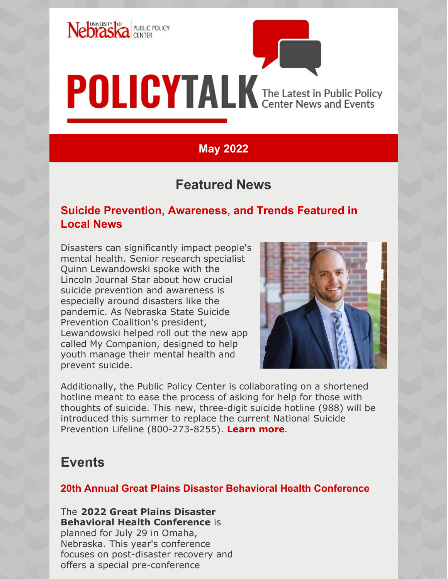

# **POLICYTALK** The Latest in Public Policy

# **May 2022**

# **Featured News**

## **Suicide Prevention, Awareness, and Trends Featured in Local News**

Disasters can significantly impact people's mental health. Senior research specialist Quinn Lewandowski spoke with the Lincoln Journal Star about how crucial suicide prevention and awareness is especially around disasters like the pandemic. As Nebraska State Suicide Prevention Coalition's president, Lewandowski helped roll out the new app called My Companion, designed to help youth manage their mental health and prevent suicide.



Additionally, the Public Policy Center is collaborating on a shortened hotline meant to ease the process of asking for help for those with thoughts of suicide. This new, three-digit suicide hotline (988) will be introduced this summer to replace the current National Suicide Prevention Lifeline (800-273-8255). **[Learn](https://journalstar.com/exclusive/health-matters/suicide-deaths-in-nebraska-dropped-during-pandemic-but-experts-keeping-eye-on-trends/article_05c310ad-73d4-586d-ace7-468bd34aeb9c.html?utm_medium=social&utm_source=facebook&utm_campaign=user-share&fbclid=IwAR1tKtswUe85PWjvJIRDHx6oLS9p_xBfkxu2P-dLzigVxuXGFJoyPX3TK2o) more**.

# **Events**

## **20th Annual Great Plains Disaster Behavioral Health Conference**

The **2022 Great Plains Disaster Behavioral Health Conference** is planned for July 29 in Omaha, Nebraska. This year's conference focuses on post-disaster recovery and offers a special pre-conference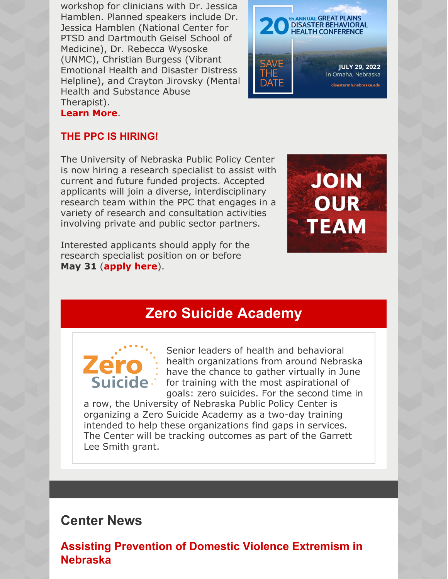workshop for clinicians with Dr. Jessica Hamblen. Planned speakers include Dr. Jessica Hamblen (National Center for PTSD and Dartmouth Geisel School of Medicine), Dr. Rebecca Wysoske (UNMC), Christian Burgess (Vibrant Emotional Health and Disaster Distress Helpline), and Crayton Jirovsky (Mental Health and Substance Abuse Therapist). **[Learn](https://www.disastermh.nebraska.edu/gp-dbh-conference/2022-ne-dbh-conference/) More**.



## **THE PPC IS HIRING!**

The University of Nebraska Public Policy Center is now hiring a research specialist to assist with current and future funded projects. Accepted applicants will join a diverse, interdisciplinary research team within the PPC that engages in a variety of research and consultation activities involving private and public sector partners.

Interested applicants should apply for the research specialist position on or before **May 31** (**[apply](https://employment.unl.edu/postings/79295) here**).



# **Zero Suicide Academy**



Senior leaders of health and behavioral health organizations from around Nebraska have the chance to gather virtually in June for training with the most aspirational of goals: zero suicides. For the second time in

a row, the University of Nebraska Public Policy Center is organizing a Zero Suicide Academy as a two-day training intended to help these organizations find gaps in services. The Center will be tracking outcomes as part of the Garrett Lee Smith grant.

# **Center News**

**Assisting Prevention of Domestic Violence Extremism in Nebraska**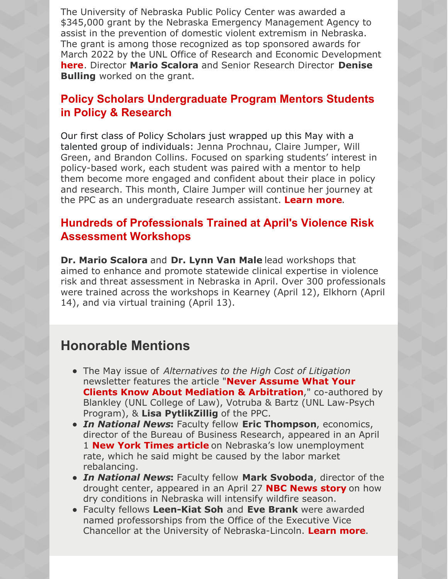The University of Nebraska Public Policy Center was awarded a \$345,000 grant by the Nebraska Emergency Management Agency to assist in the prevention of domestic violent extremism in Nebraska. The grant is among those recognized as top sponsored awards for March 2022 by the UNL Office of Research and Economic Development **[here](https://research.unl.edu/blog/top-sponsored-awards-march-2022/)**. Director **Mario Scalora** and Senior Research Director **Denise Bulling** worked on the grant.

## **Policy Scholars Undergraduate Program Mentors Students in Policy & Research**

Our first class of Policy Scholars just wrapped up this May with a talented group of individuals: Jenna Prochnau, Claire Jumper, Will Green, and Brandon Collins. Focused on sparking students' interest in policy-based work, each student was paired with a mentor to help them become more engaged and confident about their place in policy and research. This month, Claire Jumper will continue her journey at the PPC as an undergraduate research assistant. **[Learn](https://ppc.unl.edu/careers) more**.

## **Hundreds of Professionals Trained at April's Violence Risk Assessment Workshops**

**Dr. Mario Scalora** and **Dr. Lynn Van Male** lead workshops that aimed to enhance and promote statewide clinical expertise in violence risk and threat assessment in Nebraska in April. Over 300 professionals were trained across the workshops in Kearney (April 12), Elkhorn (April 14), and via virtual training (April 13).

# **Honorable Mentions**

- The May issue of *Alternatives to the High Cost of Litigation* newsletter features the article "**Never Assume What Your Clients Know About Mediation & [Arbitration](https://onlinelibrary.wiley.com/doi/10.1002/alt.21946)**," co-authored by Blankley (UNL College of Law), Votruba & Bartz (UNL Law-Psych Program), & **Lisa PytlikZillig** of the PPC.
- *In National News***:** Faculty fellow **Eric Thompson**, economics, director of the Bureau of Business Research, appeared in an April 1 **New York [Times](https://www.nytimes.com/2022/04/01/business/economy/nebraska-economy-unemployment-labor.html) article** on Nebraska's low unemployment rate, which he said might be caused by the labor market rebalancing.
- *In National News***:** Faculty fellow **Mark Svoboda**, director of the drought center, appeared in an April 27 **NBC [News](https://www.nbcnews.com/news/us-news/dry-conditions-nebraska-will-intensify-wildfire-season-rcna26243) story** on how dry conditions in Nebraska will intensify wildfire season.
- Faculty fellows **Leen-Kiat Soh** and **Eve Brank** were awarded named professorships from the Office of the Executive Vice Chancellor at the University of Nebraska-Lincoln. **[Learn](https://news.unl.edu/newsrooms/today/article/six-faculty-earn-professorships-1/?fbclid=IwAR1fZ-6hM7Z-NYJJqXorkW0sB--qNopFvM5jZNLp4G10v6cLue4Oq2s3dSE#.YmbhUxHjdN0.facebook) more**.